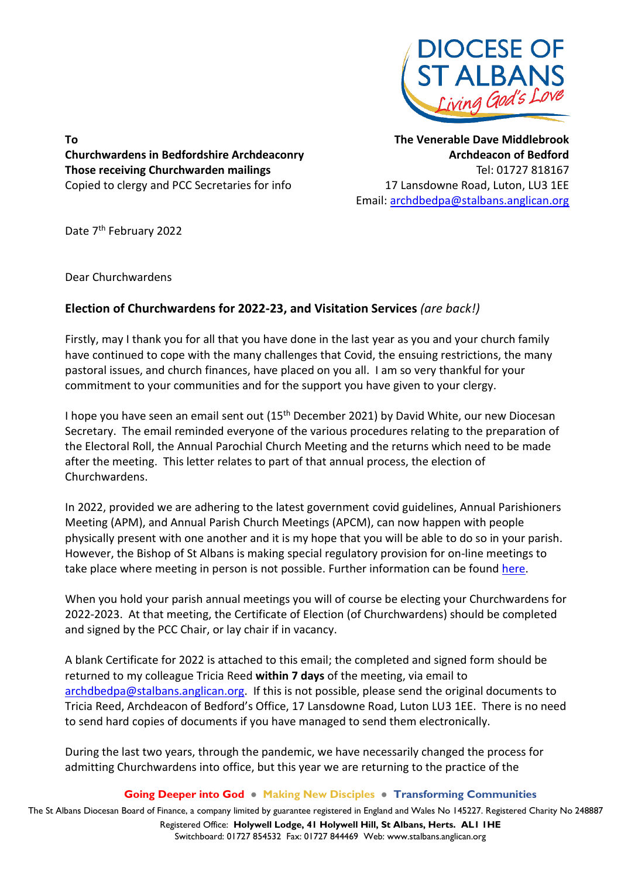

**To Churchwardens in Bedfordshire Archdeaconry Those receiving Churchwarden mailings**  Copied to clergy and PCC Secretaries for info

**The Venerable Dave Middlebrook Archdeacon of Bedford** Tel: 01727 818167 17 Lansdowne Road, Luton, LU3 1EE Email: [archdbedpa@stalbans.anglican.org](mailto:archdbedpa@stalbans.anglican.org)

Date 7<sup>th</sup> February 2022

Dear Churchwardens

## **Election of Churchwardens for 2022-23, and Visitation Services** *(are back!)*

Firstly, may I thank you for all that you have done in the last year as you and your church family have continued to cope with the many challenges that Covid, the ensuing restrictions, the many pastoral issues, and church finances, have placed on you all. I am so very thankful for your commitment to your communities and for the support you have given to your clergy.

I hope you have seen an email sent out (15<sup>th</sup> December 2021) by David White, our new Diocesan Secretary. The email reminded everyone of the various procedures relating to the preparation of the Electoral Roll, the Annual Parochial Church Meeting and the returns which need to be made after the meeting. This letter relates to part of that annual process, the election of Churchwardens.

In 2022, provided we are adhering to the latest government covid guidelines, Annual Parishioners Meeting (APM), and Annual Parish Church Meetings (APCM), can now happen with people physically present with one another and it is my hope that you will be able to do so in your parish. However, the Bishop of St Albans is making special regulatory provision for on-line meetings to take place where meeting in person is not possible. Further information can be found [here.](https://www.stalbans.anglican.org/diocese/apcm-er/)

When you hold your parish annual meetings you will of course be electing your Churchwardens for 2022-2023. At that meeting, the Certificate of Election (of Churchwardens) should be completed and signed by the PCC Chair, or lay chair if in vacancy.

A blank Certificate for 2022 is attached to this email; the completed and signed form should be returned to my colleague Tricia Reed **within 7 days** of the meeting, via email to [archdbedpa@stalbans.anglican.org.](mailto:archdbedpa@stalbans.anglican.org) If this is not possible, please send the original documents to Tricia Reed, Archdeacon of Bedford's Office, 17 Lansdowne Road, Luton LU3 1EE. There is no need to send hard copies of documents if you have managed to send them electronically.

During the last two years, through the pandemic, we have necessarily changed the process for admitting Churchwardens into office, but this year we are returning to the practice of the

## **Going Deeper into God ● Making New Disciples ● Transforming Communities**

The St Albans Diocesan Board of Finance, a company limited by guarantee registered in England and Wales No 145227. Registered Charity No 248887 Registered Office: **Holywell Lodge, 41 Holywell Hill, St Albans, Herts. AL1 1HE** Switchboard: 01727 854532 Fax: 01727 844469 Web: www.stalbans.anglican.org